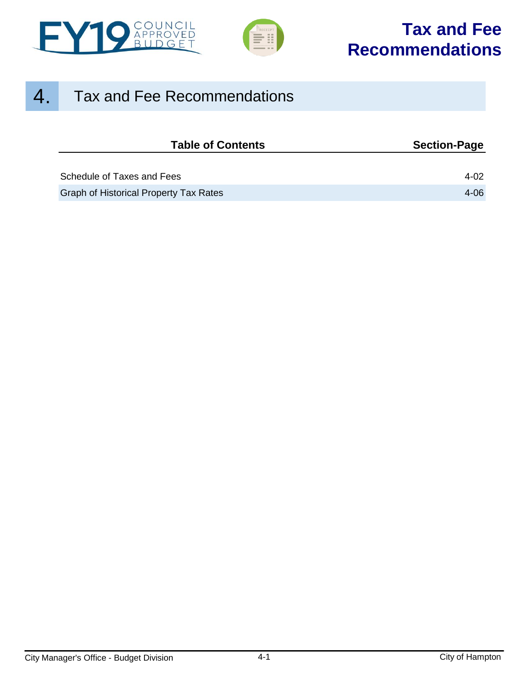



## 4. Tax and Fee Recommendations

| <b>Table of Contents</b>                      | <b>Section-Page</b> |
|-----------------------------------------------|---------------------|
|                                               |                     |
| Schedule of Taxes and Fees                    | 4-02                |
| <b>Graph of Historical Property Tax Rates</b> | 4-06                |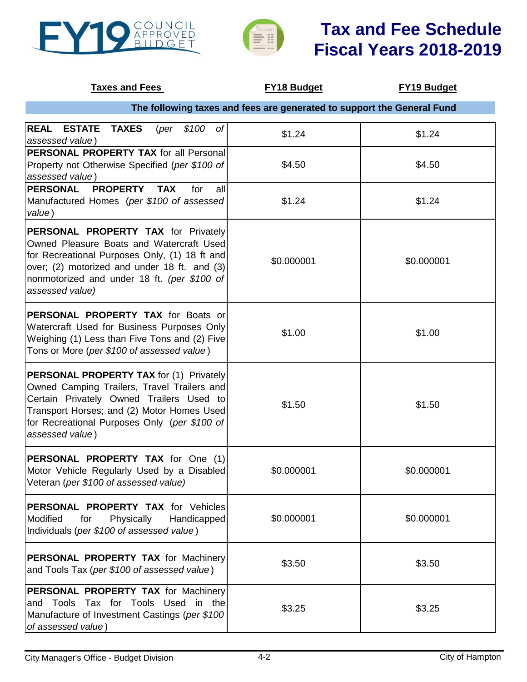<span id="page-1-0"></span>



| <b>Taxes and Fees</b>                                                                                                                                                                                                                                      | <b>FY18 Budget</b>                                                     | <b>FY19 Budget</b> |
|------------------------------------------------------------------------------------------------------------------------------------------------------------------------------------------------------------------------------------------------------------|------------------------------------------------------------------------|--------------------|
|                                                                                                                                                                                                                                                            | The following taxes and fees are generated to support the General Fund |                    |
| <b>REAL ESTATE</b><br><b>TAXES</b><br>$$100$ of<br>(per<br>assessed value)                                                                                                                                                                                 | \$1.24                                                                 | \$1.24             |
| <b>PERSONAL PROPERTY TAX for all Personal</b><br>Property not Otherwise Specified (per \$100 of<br>assessed value)                                                                                                                                         | \$4.50                                                                 | \$4.50             |
| PERSONAL PROPERTY<br><b>TAX</b><br>for<br>all<br>Manufactured Homes (per \$100 of assessed<br>value)                                                                                                                                                       | \$1.24                                                                 | \$1.24             |
| <b>PERSONAL PROPERTY TAX for Privately</b><br>Owned Pleasure Boats and Watercraft Used<br>for Recreational Purposes Only, (1) 18 ft and<br>over; (2) motorized and under 18 ft. and (3)<br>nonmotorized and under 18 ft. (per \$100 of<br>assessed value)  | \$0.000001                                                             | \$0.000001         |
| PERSONAL PROPERTY TAX for Boats or<br>Watercraft Used for Business Purposes Only<br>Weighing (1) Less than Five Tons and (2) Five<br>Tons or More (per \$100 of assessed value)                                                                            | \$1.00                                                                 | \$1.00             |
| <b>PERSONAL PROPERTY TAX for (1) Privately</b><br>Owned Camping Trailers, Travel Trailers and<br>Certain Privately Owned Trailers Used to<br>Transport Horses; and (2) Motor Homes Used<br>for Recreational Purposes Only (per \$100 of<br>assessed value) | \$1.50                                                                 | \$1.50             |
| PERSONAL PROPERTY TAX for One (1)<br>Motor Vehicle Regularly Used by a Disabled<br>Veteran (per \$100 of assessed value)                                                                                                                                   | \$0.000001                                                             | \$0.000001         |
| <b>PERSONAL PROPERTY TAX for Vehicles</b><br>Modified<br>Physically<br>for<br>Handicapped<br>Individuals (per \$100 of assessed value)                                                                                                                     | \$0.000001                                                             | \$0.000001         |
| PERSONAL PROPERTY TAX for Machinery<br>and Tools Tax (per \$100 of assessed value)                                                                                                                                                                         | \$3.50                                                                 | \$3.50             |
| PERSONAL PROPERTY TAX for Machinery<br>and Tools Tax for Tools Used<br>in the<br>Manufacture of Investment Castings (per \$100<br>of assessed value)                                                                                                       | \$3.25                                                                 | \$3.25             |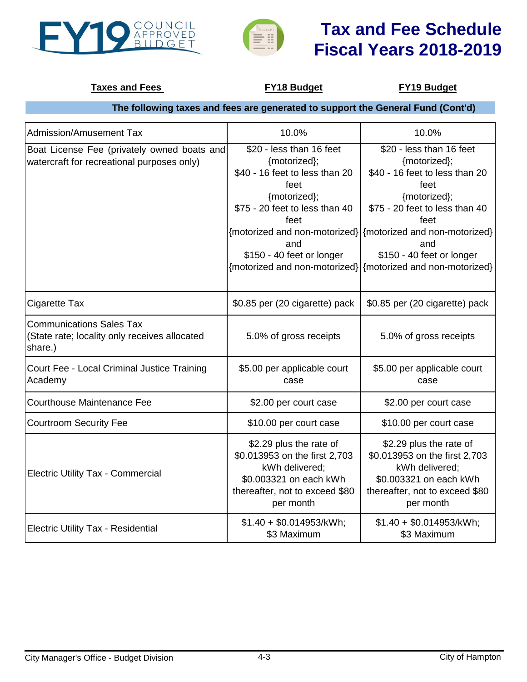



### **Taxes and Fees FY18 Budget FY19 Budget**

## **The following taxes and fees are generated to support the General Fund (Cont'd)**

| Admission/Amusement Tax                                                                     | 10.0%                                                                                                                                                                            | 10.0%                                                                                                                                                                                                                                                                                                          |
|---------------------------------------------------------------------------------------------|----------------------------------------------------------------------------------------------------------------------------------------------------------------------------------|----------------------------------------------------------------------------------------------------------------------------------------------------------------------------------------------------------------------------------------------------------------------------------------------------------------|
| Boat License Fee (privately owned boats and<br>watercraft for recreational purposes only)   | \$20 - less than 16 feet<br>{motorized};<br>\$40 - 16 feet to less than 20<br>feet<br>{motorized};<br>\$75 - 20 feet to less than 40<br>feet<br>and<br>\$150 - 40 feet or longer | \$20 - less than 16 feet<br>{motorized};<br>\$40 - 16 feet to less than 20<br>feet<br>{motorized};<br>\$75 - 20 feet to less than 40<br>feet<br>{motorized and non-motorized} {motorized and non-motorized}<br>and<br>\$150 - 40 feet or longer<br>{motorized and non-motorized} {motorized and non-motorized} |
| Cigarette Tax                                                                               | \$0.85 per (20 cigarette) pack                                                                                                                                                   | \$0.85 per (20 cigarette) pack                                                                                                                                                                                                                                                                                 |
| <b>Communications Sales Tax</b><br>(State rate; locality only receives allocated<br>share.) | 5.0% of gross receipts                                                                                                                                                           | 5.0% of gross receipts                                                                                                                                                                                                                                                                                         |
| Court Fee - Local Criminal Justice Training<br>Academy                                      | \$5.00 per applicable court<br>case                                                                                                                                              | \$5.00 per applicable court<br>case                                                                                                                                                                                                                                                                            |
| <b>Courthouse Maintenance Fee</b>                                                           | \$2.00 per court case                                                                                                                                                            | \$2.00 per court case                                                                                                                                                                                                                                                                                          |
| <b>Courtroom Security Fee</b>                                                               | \$10.00 per court case                                                                                                                                                           | \$10.00 per court case                                                                                                                                                                                                                                                                                         |
| <b>Electric Utility Tax - Commercial</b>                                                    | \$2.29 plus the rate of<br>\$0.013953 on the first 2,703<br>kWh delivered;<br>\$0.003321 on each kWh<br>thereafter, not to exceed \$80<br>per month                              | \$2.29 plus the rate of<br>\$0.013953 on the first 2,703<br>kWh delivered;<br>\$0.003321 on each kWh<br>thereafter, not to exceed \$80<br>per month                                                                                                                                                            |
| <b>Electric Utility Tax - Residential</b>                                                   | \$1.40 + \$0.014953/kWh;<br>\$3 Maximum                                                                                                                                          | $$1.40 + $0.014953/kWh;$<br>\$3 Maximum                                                                                                                                                                                                                                                                        |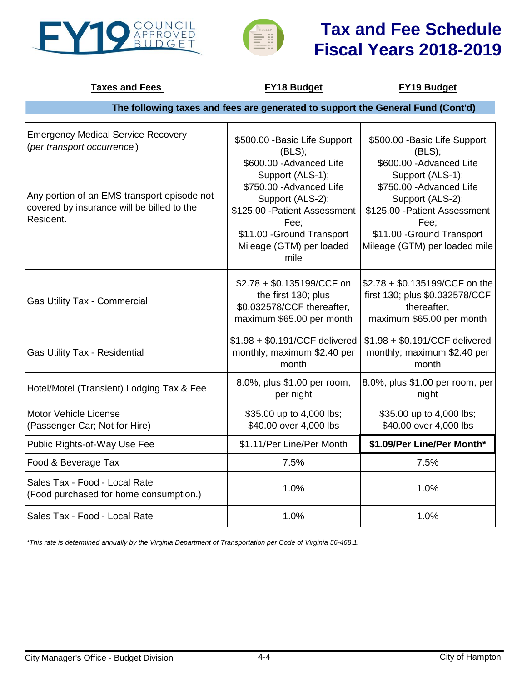



| <b>Taxes and Fees</b>                                                                                  | <b>FY18 Budget</b>                                                                                                                                                          | <b>FY19 Budget</b>                                                                                                                                                       |
|--------------------------------------------------------------------------------------------------------|-----------------------------------------------------------------------------------------------------------------------------------------------------------------------------|--------------------------------------------------------------------------------------------------------------------------------------------------------------------------|
|                                                                                                        | The following taxes and fees are generated to support the General Fund (Cont'd)                                                                                             |                                                                                                                                                                          |
| <b>Emergency Medical Service Recovery</b><br>(per transport occurrence)                                | \$500.00 - Basic Life Support<br>(BLS);<br>\$600.00 - Advanced Life                                                                                                         | \$500.00 - Basic Life Support<br>(BLS);<br>\$600.00 - Advanced Life                                                                                                      |
| Any portion of an EMS transport episode not<br>covered by insurance will be billed to the<br>Resident. | Support (ALS-1);<br>\$750.00 - Advanced Life<br>Support (ALS-2);<br>\$125.00 - Patient Assessment<br>Fee;<br>\$11.00 - Ground Transport<br>Mileage (GTM) per loaded<br>mile | Support (ALS-1);<br>\$750.00 - Advanced Life<br>Support (ALS-2);<br>\$125.00 - Patient Assessment<br>Fee;<br>\$11.00 - Ground Transport<br>Mileage (GTM) per loaded mile |
| <b>Gas Utility Tax - Commercial</b>                                                                    | \$2.78 + \$0.135199/CCF on<br>the first 130; plus<br>\$0.032578/CCF thereafter,<br>maximum \$65.00 per month                                                                | \$2.78 + \$0.135199/CCF on the<br>first 130; plus \$0.032578/CCF<br>thereafter,<br>maximum \$65.00 per month                                                             |
| <b>Gas Utility Tax - Residential</b>                                                                   | \$1.98 + \$0.191/CCF delivered<br>monthly; maximum \$2.40 per<br>month                                                                                                      | \$1.98 + \$0.191/CCF delivered<br>monthly; maximum \$2.40 per<br>month                                                                                                   |
| Hotel/Motel (Transient) Lodging Tax & Fee                                                              | 8.0%, plus \$1.00 per room,<br>per night                                                                                                                                    | 8.0%, plus \$1.00 per room, per<br>night                                                                                                                                 |
| Motor Vehicle License<br>(Passenger Car; Not for Hire)                                                 | \$35.00 up to 4,000 lbs;<br>\$40.00 over 4,000 lbs                                                                                                                          | \$35.00 up to 4,000 lbs;<br>\$40.00 over 4,000 lbs                                                                                                                       |
| Public Rights-of-Way Use Fee                                                                           | \$1.11/Per Line/Per Month                                                                                                                                                   | \$1.09/Per Line/Per Month*                                                                                                                                               |
| Food & Beverage Tax                                                                                    | 7.5%                                                                                                                                                                        | 7.5%                                                                                                                                                                     |
| Sales Tax - Food - Local Rate<br>(Food purchased for home consumption.)                                | 1.0%                                                                                                                                                                        | 1.0%                                                                                                                                                                     |
| Sales Tax - Food - Local Rate                                                                          | 1.0%                                                                                                                                                                        | 1.0%                                                                                                                                                                     |

*\*This rate is determined annually by the Virginia Department of Transportation per Code of Virginia 56-468.1.*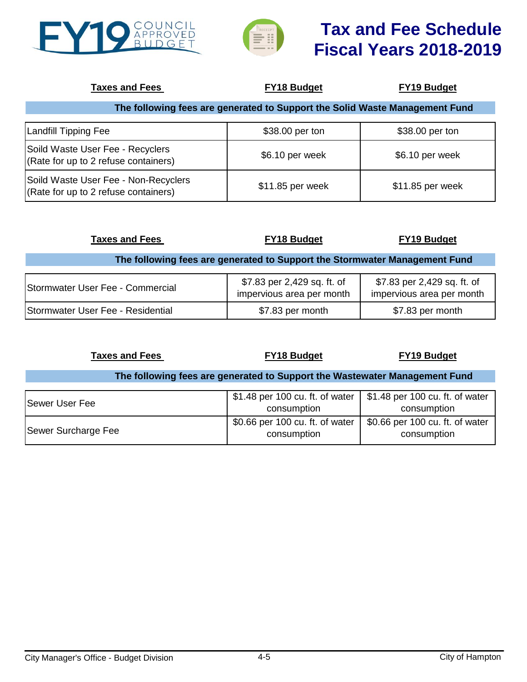



| <b>Taxes and Fees</b>                                                        | <b>FY18 Budget</b> | <b>FY19 Budget</b> |
|------------------------------------------------------------------------------|--------------------|--------------------|
| The following fees are generated to Support the Solid Waste Management Fund  |                    |                    |
| Landfill Tipping Fee                                                         | \$38.00 per ton    | \$38.00 per ton    |
| Soild Waste User Fee - Recyclers<br>(Rate for up to 2 refuse containers)     | \$6.10 per week    | \$6.10 per week    |
| Soild Waste User Fee - Non-Recyclers<br>(Rate for up to 2 refuse containers) | \$11.85 per week   | \$11.85 per week   |

| <b>Taxes and Fees</b>                                                      | <b>FY18 Budget</b>                                       | <b>FY19 Budget</b>                                       |
|----------------------------------------------------------------------------|----------------------------------------------------------|----------------------------------------------------------|
| The following fees are generated to Support the Stormwater Management Fund |                                                          |                                                          |
| Stormwater User Fee - Commercial                                           | \$7.83 per 2,429 sq. ft. of<br>impervious area per month | \$7.83 per 2,429 sq. ft. of<br>impervious area per month |
| Stormwater User Fee - Residential                                          | \$7.83 per month                                         | \$7.83 per month                                         |

**Taxes and Fees FY18 Budget FY19 Budget**

#### **The following fees are generated to Support the Wastewater Management Fund**

| <b>Sewer User Fee</b> | \$1.48 per 100 cu. ft. of water   \$1.48 per 100 cu. ft. of water<br>consumption | consumption                                    |
|-----------------------|----------------------------------------------------------------------------------|------------------------------------------------|
| Sewer Surcharge Fee   | \$0.66 per 100 cu. ft. of water $\vert$<br>consumption                           | \$0.66 per 100 cu. ft. of water<br>consumption |